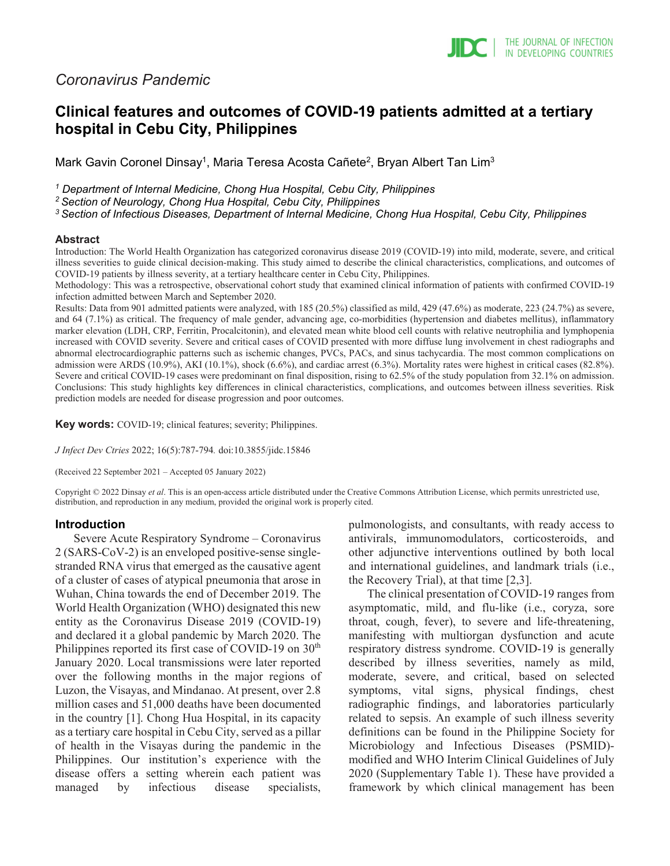# *Coronavirus Pandemic*

# **Clinical features and outcomes of COVID-19 patients admitted at a tertiary hospital in Cebu City, Philippines**

Mark Gavin Coronel Dinsay<sup>1</sup>, Maria Teresa Acosta Cañete<sup>2</sup>, Bryan Albert Tan Lim<sup>3</sup>

*<sup>1</sup> Department of Internal Medicine, Chong Hua Hospital, Cebu City, Philippines*

*2 Section of Neurology, Chong Hua Hospital, Cebu City, Philippines*

*3 Section of Infectious Diseases, Department of Internal Medicine, Chong Hua Hospital, Cebu City, Philippines*

#### **Abstract**

Introduction: The World Health Organization has categorized coronavirus disease 2019 (COVID-19) into mild, moderate, severe, and critical illness severities to guide clinical decision-making. This study aimed to describe the clinical characteristics, complications, and outcomes of COVID-19 patients by illness severity, at a tertiary healthcare center in Cebu City, Philippines.

Methodology: This was a retrospective, observational cohort study that examined clinical information of patients with confirmed COVID-19 infection admitted between March and September 2020.

Results: Data from 901 admitted patients were analyzed, with 185 (20.5%) classified as mild, 429 (47.6%) as moderate, 223 (24.7%) as severe, and 64 (7.1%) as critical. The frequency of male gender, advancing age, co-morbidities (hypertension and diabetes mellitus), inflammatory marker elevation (LDH, CRP, Ferritin, Procalcitonin), and elevated mean white blood cell counts with relative neutrophilia and lymphopenia increased with COVID severity. Severe and critical cases of COVID presented with more diffuse lung involvement in chest radiographs and abnormal electrocardiographic patterns such as ischemic changes, PVCs, PACs, and sinus tachycardia. The most common complications on admission were ARDS (10.9%), AKI (10.1%), shock (6.6%), and cardiac arrest (6.3%). Mortality rates were highest in critical cases (82.8%). Severe and critical COVID-19 cases were predominant on final disposition, rising to 62.5% of the study population from 32.1% on admission. Conclusions: This study highlights key differences in clinical characteristics, complications, and outcomes between illness severities. Risk prediction models are needed for disease progression and poor outcomes.

**Key words:** COVID-19; clinical features; severity; Philippines.

*J Infect Dev Ctries* 2022; 16(5):787-794*.* doi:10.3855/jidc.15846

(Received 22 September 2021 – Accepted 05 January 2022)

Copyright © 2022 Dinsay *et al*. This is an open-access article distributed under the Creative Commons Attribution License, which permits unrestricted use, distribution, and reproduction in any medium, provided the original work is properly cited.

#### **Introduction**

Severe Acute Respiratory Syndrome – Coronavirus 2 (SARS-CoV-2) is an enveloped positive-sense singlestranded RNA virus that emerged as the causative agent of a cluster of cases of atypical pneumonia that arose in Wuhan, China towards the end of December 2019. The World Health Organization (WHO) designated this new entity as the Coronavirus Disease 2019 (COVID-19) and declared it a global pandemic by March 2020. The Philippines reported its first case of COVID-19 on  $30<sup>th</sup>$ January 2020. Local transmissions were later reported over the following months in the major regions of Luzon, the Visayas, and Mindanao. At present, over 2.8 million cases and 51,000 deaths have been documented in the country [1]. Chong Hua Hospital, in its capacity as a tertiary care hospital in Cebu City, served as a pillar of health in the Visayas during the pandemic in the Philippines. Our institution's experience with the disease offers a setting wherein each patient was managed by infectious disease specialists,

pulmonologists, and consultants, with ready access to antivirals, immunomodulators, corticosteroids, and other adjunctive interventions outlined by both local and international guidelines, and landmark trials (i.e., the Recovery Trial), at that time [2,3].

The clinical presentation of COVID-19 ranges from asymptomatic, mild, and flu-like (i.e., coryza, sore throat, cough, fever), to severe and life-threatening, manifesting with multiorgan dysfunction and acute respiratory distress syndrome. COVID-19 is generally described by illness severities, namely as mild, moderate, severe, and critical, based on selected symptoms, vital signs, physical findings, chest radiographic findings, and laboratories particularly related to sepsis. An example of such illness severity definitions can be found in the Philippine Society for Microbiology and Infectious Diseases (PSMID) modified and WHO Interim Clinical Guidelines of July 2020 (Supplementary Table 1). These have provided a framework by which clinical management has been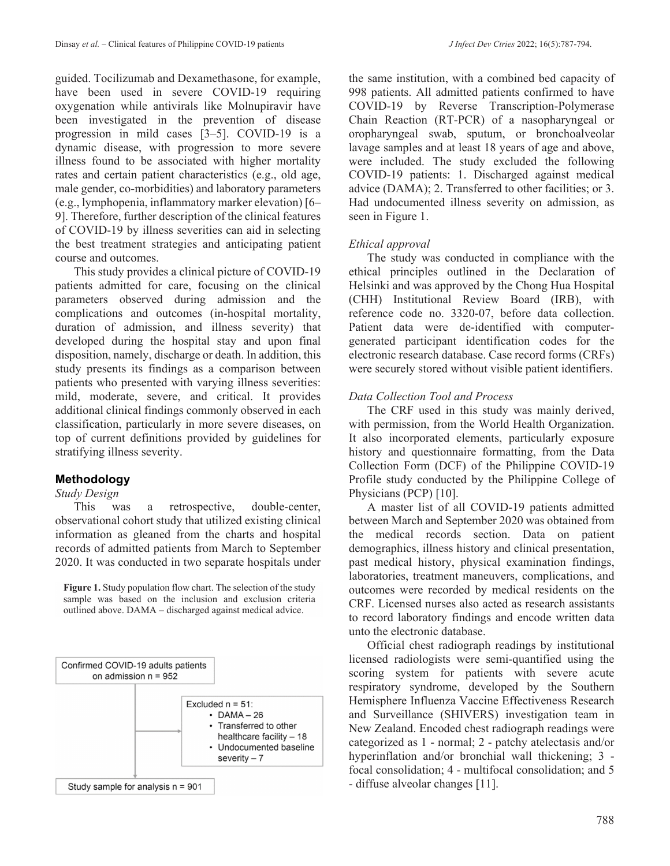guided. Tocilizumab and Dexamethasone, for example, have been used in severe COVID-19 requiring oxygenation while antivirals like Molnupiravir have been investigated in the prevention of disease progression in mild cases [3–5]. COVID-19 is a dynamic disease, with progression to more severe illness found to be associated with higher mortality rates and certain patient characteristics (e.g., old age, male gender, co-morbidities) and laboratory parameters (e.g., lymphopenia, inflammatory marker elevation) [6– 9]. Therefore, further description of the clinical features of COVID-19 by illness severities can aid in selecting the best treatment strategies and anticipating patient course and outcomes.

This study provides a clinical picture of COVID-19 patients admitted for care, focusing on the clinical parameters observed during admission and the complications and outcomes (in-hospital mortality, duration of admission, and illness severity) that developed during the hospital stay and upon final disposition, namely, discharge or death. In addition, this study presents its findings as a comparison between patients who presented with varying illness severities: mild, moderate, severe, and critical. It provides additional clinical findings commonly observed in each classification, particularly in more severe diseases, on top of current definitions provided by guidelines for stratifying illness severity.

## **Methodology**

#### *Study Design*

This was a retrospective, double-center, observational cohort study that utilized existing clinical information as gleaned from the charts and hospital records of admitted patients from March to September 2020. It was conducted in two separate hospitals under

**Figure 1.** Study population flow chart. The selection of the study sample was based on the inclusion and exclusion criteria outlined above. DAMA – discharged against medical advice.



Study sample for analysis  $n = 901$ 

the same institution, with a combined bed capacity of 998 patients. All admitted patients confirmed to have COVID-19 by Reverse Transcription-Polymerase Chain Reaction (RT-PCR) of a nasopharyngeal or oropharyngeal swab, sputum, or bronchoalveolar lavage samples and at least 18 years of age and above, were included. The study excluded the following COVID-19 patients: 1. Discharged against medical advice (DAMA); 2. Transferred to other facilities; or 3. Had undocumented illness severity on admission, as seen in Figure 1.

## *Ethical approval*

The study was conducted in compliance with the ethical principles outlined in the Declaration of Helsinki and was approved by the Chong Hua Hospital (CHH) Institutional Review Board (IRB), with reference code no. 3320-07, before data collection. Patient data were de-identified with computergenerated participant identification codes for the electronic research database. Case record forms (CRFs) were securely stored without visible patient identifiers.

## *Data Collection Tool and Process*

The CRF used in this study was mainly derived, with permission, from the World Health Organization. It also incorporated elements, particularly exposure history and questionnaire formatting, from the Data Collection Form (DCF) of the Philippine COVID-19 Profile study conducted by the Philippine College of Physicians (PCP) [10].

A master list of all COVID-19 patients admitted between March and September 2020 was obtained from the medical records section. Data on patient demographics, illness history and clinical presentation, past medical history, physical examination findings, laboratories, treatment maneuvers, complications, and outcomes were recorded by medical residents on the CRF. Licensed nurses also acted as research assistants to record laboratory findings and encode written data unto the electronic database.

Official chest radiograph readings by institutional licensed radiologists were semi-quantified using the scoring system for patients with severe acute respiratory syndrome, developed by the Southern Hemisphere Influenza Vaccine Effectiveness Research and Surveillance (SHIVERS) investigation team in New Zealand. Encoded chest radiograph readings were categorized as 1 - normal; 2 - patchy atelectasis and/or hyperinflation and/or bronchial wall thickening; 3 focal consolidation; 4 - multifocal consolidation; and 5 - diffuse alveolar changes [11].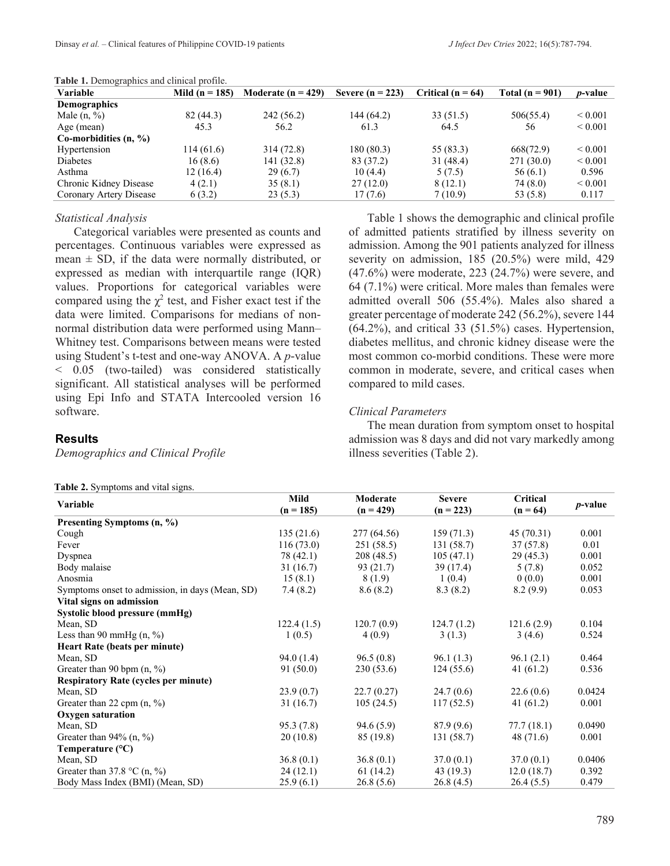| <b>Table 1:</b> Define applies and emiliear profile. |                  |                        |                    |                       |                   |                   |
|------------------------------------------------------|------------------|------------------------|--------------------|-----------------------|-------------------|-------------------|
| Variable                                             | Mild $(n = 185)$ | Moderate ( $n = 429$ ) | Severe $(n = 223)$ | Critical ( $n = 64$ ) | Total $(n = 901)$ | <i>p</i> -value   |
| Demographics                                         |                  |                        |                    |                       |                   |                   |
| Male $(n, %)$                                        | 82 (44.3)        | 242 (56.2)             | 144 (64.2)         | 33(51.5)              | 506(55.4)         | ${}_{\leq 0.001}$ |
| Age (mean)                                           | 45.3             | 56.2                   | 61.3               | 64.5                  | 56                | ${}_{0.001}$      |
| Co-morbidities $(n, %)$                              |                  |                        |                    |                       |                   |                   |
| Hypertension                                         | 114(61.6)        | 314 (72.8)             | 180(80.3)          | 55 (83.3)             | 668(72.9)         | ${}_{0.001}$      |
| Diabetes                                             | 16(8.6)          | 141 (32.8)             | 83 (37.2)          | 31(48.4)              | 271(30.0)         | ${}_{\leq 0.001}$ |
| Asthma                                               | 12 (16.4)        | 29(6.7)                | 10(4.4)            | 5(7.5)                | 56(6.1)           | 0.596             |
| Chronic Kidney Disease                               | 4(2.1)           | 35(8.1)                | 27(12.0)           | 8(12.1)               | 74 (8.0)          | ${}_{\leq 0.001}$ |
| Coronary Artery Disease                              | 6(3.2)           | 23(5.3)                | 17(7.6)            | 7(10.9)               | 53 (5.8)          | 0.117             |
|                                                      |                  |                        |                    |                       |                   |                   |

**Table 1.** Demographics and clinical profile.

#### *Statistical Analysis*

Categorical variables were presented as counts and percentages. Continuous variables were expressed as mean  $\pm$  SD, if the data were normally distributed, or expressed as median with interquartile range (IQR) values. Proportions for categorical variables were compared using the  $\chi^2$  test, and Fisher exact test if the data were limited. Comparisons for medians of nonnormal distribution data were performed using Mann– Whitney test. Comparisons between means were tested using Student's t-test and one-way ANOVA. A *p*-value < 0.05 (two-tailed) was considered statistically significant. All statistical analyses will be performed using Epi Info and STATA Intercooled version 16 software.

#### **Results**

*Demographics and Clinical Profile*

|  | Table 2. Symptoms and vital signs. |  |  |
|--|------------------------------------|--|--|
|--|------------------------------------|--|--|

Table 1 shows the demographic and clinical profile of admitted patients stratified by illness severity on admission. Among the 901 patients analyzed for illness severity on admission, 185 (20.5%) were mild, 429 (47.6%) were moderate, 223 (24.7%) were severe, and 64 (7.1%) were critical. More males than females were admitted overall 506 (55.4%). Males also shared a greater percentage of moderate 242 (56.2%), severe 144 (64.2%), and critical 33 (51.5%) cases. Hypertension, diabetes mellitus, and chronic kidney disease were the most common co-morbid conditions. These were more common in moderate, severe, and critical cases when compared to mild cases.

#### *Clinical Parameters*

The mean duration from symptom onset to hospital admission was 8 days and did not vary markedly among illness severities (Table 2).

| <b>rapic 2.</b> by inproms and vital signs.     |             |             |               |                 |                 |
|-------------------------------------------------|-------------|-------------|---------------|-----------------|-----------------|
| Variable                                        | Mild        | Moderate    | <b>Severe</b> | <b>Critical</b> | <i>p</i> -value |
|                                                 | $(n = 185)$ | $(n = 429)$ | $(n = 223)$   | $(n = 64)$      |                 |
| Presenting Symptoms (n, %)                      |             |             |               |                 |                 |
| Cough                                           | 135(21.6)   | 277 (64.56) | 159(71.3)     | 45(70.31)       | 0.001           |
| Fever                                           | 116(73.0)   | 251 (58.5)  | 131(58.7)     | 37(57.8)        | 0.01            |
| Dyspnea                                         | 78 (42.1)   | 208 (48.5)  | 105(47.1)     | 29(45.3)        | 0.001           |
| Body malaise                                    | 31 (16.7)   | 93 (21.7)   | 39 (17.4)     | 5(7.8)          | 0.052           |
| Anosmia                                         | 15(8.1)     | 8(1.9)      | 1(0.4)        | 0(0.0)          | 0.001           |
| Symptoms onset to admission, in days (Mean, SD) | 7.4(8.2)    | 8.6(8.2)    | 8.3(8.2)      | 8.2(9.9)        | 0.053           |
| Vital signs on admission                        |             |             |               |                 |                 |
| Systolic blood pressure (mmHg)                  |             |             |               |                 |                 |
| Mean, SD                                        | 122.4(1.5)  | 120.7(0.9)  | 124.7(1.2)    | 121.6(2.9)      | 0.104           |
| Less than 90 mmHg $(n, %)$                      | 1(0.5)      | 4(0.9)      | 3(1.3)        | 3(4.6)          | 0.524           |
| <b>Heart Rate (beats per minute)</b>            |             |             |               |                 |                 |
| Mean, SD                                        | 94.0(1.4)   | 96.5(0.8)   | 96.1(1.3)     | 96.1(2.1)       | 0.464           |
| Greater than 90 bpm $(n, %)$                    | 91(50.0)    | 230(53.6)   | 124(55.6)     | 41 $(61.2)$     | 0.536           |
| <b>Respiratory Rate (cycles per minute)</b>     |             |             |               |                 |                 |
| Mean, SD                                        | 23.9(0.7)   | 22.7(0.27)  | 24.7(0.6)     | 22.6(0.6)       | 0.0424          |
| Greater than 22 cpm $(n, %)$                    | 31 (16.7)   | 105(24.5)   | 117(52.5)     | 41 $(61.2)$     | 0.001           |
| <b>Oxygen saturation</b>                        |             |             |               |                 |                 |
| Mean, SD                                        | 95.3(7.8)   | 94.6(5.9)   | 87.9(9.6)     | 77.7(18.1)      | 0.0490          |
| Greater than $94\%$ (n, %)                      | 20(10.8)    | 85 (19.8)   | 131 (58.7)    | 48 (71.6)       | 0.001           |
| Temperature $(^{\circ}C)$                       |             |             |               |                 |                 |
| Mean, SD                                        | 36.8(0.1)   | 36.8(0.1)   | 37.0(0.1)     | 37.0(0.1)       | 0.0406          |
| Greater than $37.8 \text{ °C}$ (n, %)           | 24(12.1)    | 61 (14.2)   | 43(19.3)      | 12.0(18.7)      | 0.392           |
| Body Mass Index (BMI) (Mean, SD)                | 25.9 (6.1)  | 26.8(5.6)   | 26.8(4.5)     | 26.4(5.5)       | 0.479           |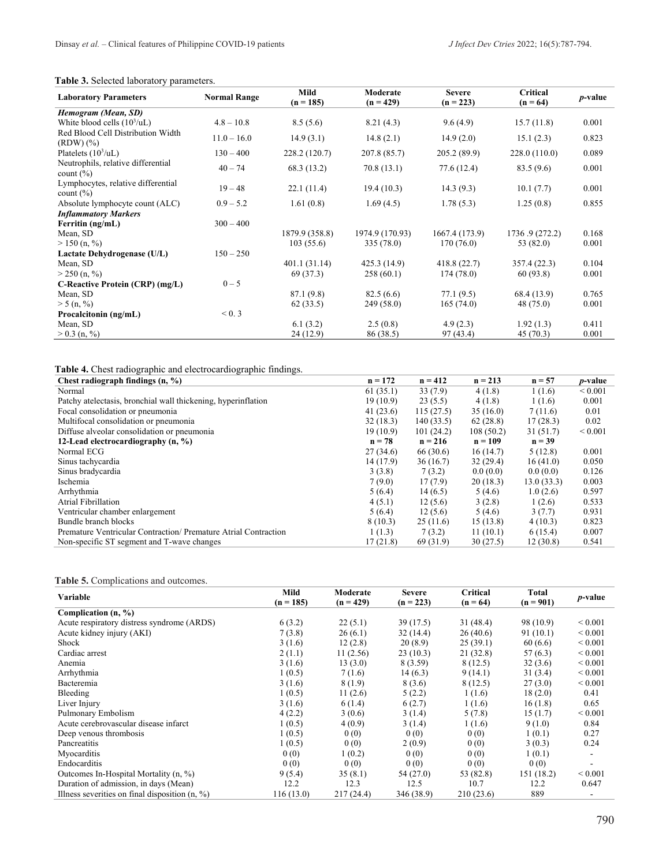#### **Table 3.** Selected laboratory parameters.

| <b>Laboratory Parameters</b>                        | <b>Normal Range</b> | Mild<br>$(n = 185)$ | Moderate<br>$(n = 429)$ | <b>Severe</b><br>$(n = 223)$ | Critical<br>$(n = 64)$ | <i>p</i> -value |
|-----------------------------------------------------|---------------------|---------------------|-------------------------|------------------------------|------------------------|-----------------|
| Hemogram (Mean, SD)                                 |                     |                     |                         |                              |                        |                 |
| White blood cells $(10^3/\text{uL})$                | $4.8 - 10.8$        | 8.5(5.6)            | 8.21(4.3)               | 9.6(4.9)                     | 15.7(11.8)             | 0.001           |
| Red Blood Cell Distribution Width<br>$(RDW)$ $(\%)$ | $11.0 - 16.0$       | 14.9(3.1)           | 14.8(2.1)               | 14.9(2.0)                    | 15.1(2.3)              | 0.823           |
| Platelets $(10^3/\text{uL})$                        | $130 - 400$         | 228.2 (120.7)       | 207.8 (85.7)            | 205.2(89.9)                  | 228.0(110.0)           | 0.089           |
| Neutrophils, relative differential<br>count $(\% )$ | $40 - 74$           | 68.3 (13.2)         | 70.8(13.1)              | 77.6(12.4)                   | 83.5(9.6)              | 0.001           |
| Lymphocytes, relative differential<br>count $(\% )$ | $19 - 48$           | 22.1(11.4)          | 19.4(10.3)              | 14.3(9.3)                    | 10.1(7.7)              | 0.001           |
| Absolute lymphocyte count (ALC)                     | $0.9 - 5.2$         | 1.61(0.8)           | 1.69(4.5)               | 1.78(5.3)                    | 1.25(0.8)              | 0.855           |
| <b>Inflammatory Markers</b>                         |                     |                     |                         |                              |                        |                 |
| Ferritin (ng/mL)                                    | $300 - 400$         |                     |                         |                              |                        |                 |
| Mean, SD                                            |                     | 1879.9 (358.8)      | 1974.9 (170.93)         | 1667.4 (173.9)               | 1736.9 (272.2)         | 0.168           |
| $> 150$ (n, %)                                      |                     | 103(55.6)           | 335 (78.0)              | 170(76.0)                    | 53 (82.0)              | 0.001           |
| Lactate Dehydrogenase (U/L)                         | $150 - 250$         |                     |                         |                              |                        |                 |
| Mean, SD                                            |                     | 401.1(31.14)        | 425.3 (14.9)            | 418.8(22.7)                  | 357.4 (22.3)           | 0.104           |
| $>$ 250 (n, %)                                      |                     | 69 (37.3)           | 258(60.1)               | 174(78.0)                    | 60 (93.8)              | 0.001           |
| C-Reactive Protein (CRP) (mg/L)                     | $0 - 5$             |                     |                         |                              |                        |                 |
| Mean, SD                                            |                     | 87.1 (9.8)          | 82.5(6.6)               | 77.1(9.5)                    | 68.4 (13.9)            | 0.765           |
| > 5(n, %)                                           |                     | 62(33.5)            | 249(58.0)               | 165(74.0)                    | 48 (75.0)              | 0.001           |
| Procalcitonin (ng/mL)                               | < 0.3               |                     |                         |                              |                        |                 |
| Mean, SD                                            |                     | 6.1(3.2)            | 2.5(0.8)                | 4.9(2.3)                     | 1.92(1.3)              | 0.411           |
| $> 0.3$ (n, %)                                      |                     | 24 (12.9)           | 86 (38.5)               | 97 (43.4)                    | 45(70.3)               | 0.001           |

**Table 4.** Chest radiographic and electrocardiographic findings.

| Chest radiograph findings $(n, %)$                             | $n = 172$ | $n = 412$ | $n = 213$ | $n = 57$   | <i>p</i> -value |
|----------------------------------------------------------------|-----------|-----------|-----------|------------|-----------------|
| Normal                                                         | 61(35.1)  | 33(7.9)   | 4(1.8)    | 1(1.6)     | ${}_{0.001}$    |
| Patchy at electasis, bronchial wall thickening, hyperinflation | 19(10.9)  | 23(5.5)   | 4(1.8)    | 1(1.6)     | 0.001           |
| Focal consolidation or pneumonia                               | 41(23.6)  | 115(27.5) | 35(16.0)  | 7(11.6)    | 0.01            |
| Multifocal consolidation or pneumonia                          | 32(18.3)  | 140(33.5) | 62(28.8)  | 17(28.3)   | 0.02            |
| Diffuse alveolar consolidation or pneumonia                    | 19(10.9)  | 101(24.2) | 108(50.2) | 31(51.7)   | ${}_{0.001}$    |
| 12-Lead electrocardiography (n, %)                             | $n = 78$  | $n = 216$ | $n = 109$ | $n = 39$   |                 |
| Normal ECG                                                     | 27(34.6)  | 66 (30.6) | 16(14.7)  | 5(12.8)    | 0.001           |
| Sinus tachycardia                                              | 14 (17.9) | 36(16.7)  | 32(29.4)  | 16(41.0)   | 0.050           |
| Sinus bradycardia                                              | 3(3.8)    | 7(3.2)    | 0.0(0.0)  | 0.0(0.0)   | 0.126           |
| Ischemia                                                       | 7(9.0)    | 17(7.9)   | 20(18.3)  | 13.0(33.3) | 0.003           |
| Arrhythmia                                                     | 5(6.4)    | 14(6.5)   | 5(4.6)    | 1.0(2.6)   | 0.597           |
| Atrial Fibrillation                                            | 4(5.1)    | 12(5.6)   | 3(2.8)    | 1(2.6)     | 0.533           |
| Ventricular chamber enlargement                                | 5(6.4)    | 12(5.6)   | 5(4.6)    | 3(7.7)     | 0.931           |
| Bundle branch blocks                                           | 8(10.3)   | 25(11.6)  | 15(13.8)  | 4(10.3)    | 0.823           |
| Premature Ventricular Contraction/Premature Atrial Contraction | 1(1.3)    | 7(3.2)    | 11(10.1)  | 6(15.4)    | 0.007           |
| Non-specific ST segment and T-wave changes                     | 17(21.8)  | 69 (31.9) | 30(27.5)  | 12(30.8)   | 0.541           |

#### **Table 5.** Complications and outcomes.

| Variable                                         | Mild<br>$(n = 185)$ | Moderate<br>$(n = 429)$ | <b>Severe</b><br>$(n = 223)$ | Critical<br>$(n = 64)$ | Total<br>$(n = 901)$ | <i>p</i> -value          |
|--------------------------------------------------|---------------------|-------------------------|------------------------------|------------------------|----------------------|--------------------------|
| Complication $(n, %)$                            |                     |                         |                              |                        |                      |                          |
| Acute respiratory distress syndrome (ARDS)       | 6(3.2)              | 22(5.1)                 | 39(17.5)                     | 31 (48.4)              | 98 (10.9)            | ${}_{0.001}$             |
| Acute kidney injury (AKI)                        | 7(3.8)              | 26(6.1)                 | 32(14.4)                     | 26(40.6)               | 91(10.1)             | ${}_{0.001}$             |
| Shock                                            | 3(1.6)              | 12(2.8)                 | 20(8.9)                      | 25(39.1)               | 60(6.6)              | ${}_{0.001}$             |
| Cardiac arrest                                   | 2(1.1)              | 11(2.56)                | 23(10.3)                     | 21(32.8)               | 57(6.3)              | ${}_{0.001}$             |
| Anemia                                           | 3(1.6)              | 13(3.0)                 | 8 (3.59)                     | 8(12.5)                | 32(3.6)              | ${}_{0.001}$             |
| Arrhythmia                                       | 1(0.5)              | 7(1.6)                  | 14(6.3)                      | 9(14.1)                | 31(3.4)              | ${}_{0.001}$             |
| Bacteremia                                       | 3(1.6)              | 8(1.9)                  | 8 (3.6)                      | 8(12.5)                | 27(3.0)              | ${}_{0.001}$             |
| Bleeding                                         | 1(0.5)              | 11(2.6)                 | 5(2.2)                       | 1(1.6)                 | 18(2.0)              | 0.41                     |
| Liver Injury                                     | 3(1.6)              | 6(1.4)                  | 6(2.7)                       | 1(1.6)                 | 16(1.8)              | 0.65                     |
| Pulmonary Embolism                               | 4(2.2)              | 3(0.6)                  | 3(1.4)                       | 5(7.8)                 | 15(1.7)              | ${}_{0.001}$             |
| Acute cerebrovascular disease infarct            | 1(0.5)              | 4(0.9)                  | 3(1.4)                       | 1(1.6)                 | 9(1.0)               | 0.84                     |
| Deep venous thrombosis                           | 1(0.5)              | 0(0)                    | 0(0)                         | 0(0)                   | 1(0.1)               | 0.27                     |
| Pancreatitis                                     | 1(0.5)              | 0(0)                    | 2(0.9)                       | 0(0)                   | 3(0.3)               | 0.24                     |
| Myocarditis                                      | 0(0)                | 1(0.2)                  | 0(0)                         | 0(0)                   | 1(0.1)               | $\overline{\phantom{a}}$ |
| Endocarditis                                     | 0(0)                | 0(0)                    | 0(0)                         | 0(0)                   | 0(0)                 |                          |
| Outcomes In-Hospital Mortality (n, %)            | 9(5.4)              | 35(8.1)                 | 54 (27.0)                    | 53 (82.8)              | 151 (18.2)           | ${}_{0.001}$             |
| Duration of admission, in days (Mean)            | 12.2                | 12.3                    | 12.5                         | 10.7                   | 12.2                 | 0.647                    |
| Illness severities on final disposition $(n, %)$ | 116(13.0)           | 217 (24.4)              | 346 (38.9)                   | 210 (23.6)             | 889                  |                          |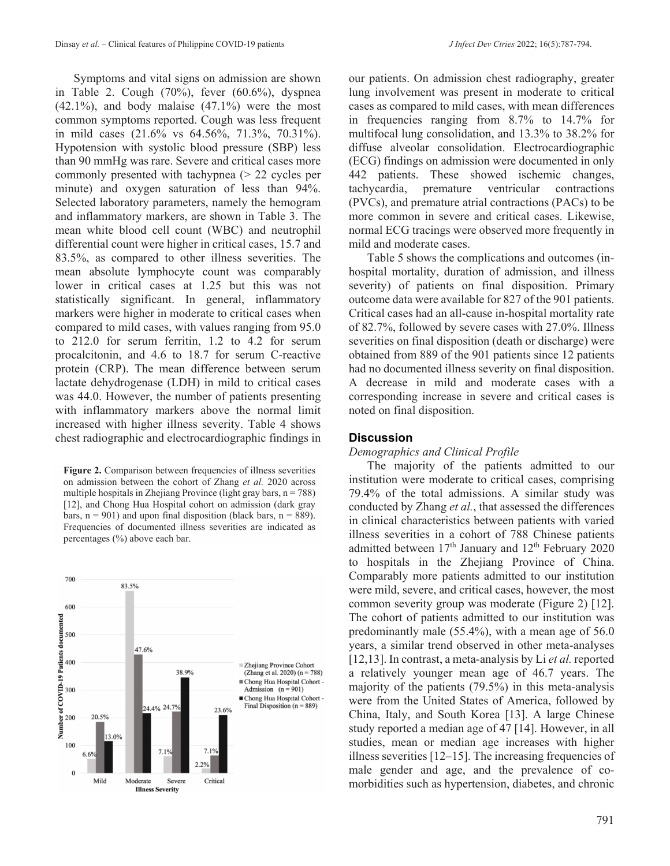Symptoms and vital signs on admission are shown in Table 2. Cough (70%), fever (60.6%), dyspnea  $(42.1\%)$ , and body malaise  $(47.1\%)$  were the most common symptoms reported. Cough was less frequent in mild cases (21.6% vs 64.56%, 71.3%, 70.31%). Hypotension with systolic blood pressure (SBP) less than 90 mmHg was rare. Severe and critical cases more commonly presented with tachypnea (> 22 cycles per minute) and oxygen saturation of less than 94%. Selected laboratory parameters, namely the hemogram and inflammatory markers, are shown in Table 3. The mean white blood cell count (WBC) and neutrophil differential count were higher in critical cases, 15.7 and 83.5%, as compared to other illness severities. The mean absolute lymphocyte count was comparably lower in critical cases at 1.25 but this was not statistically significant. In general, inflammatory markers were higher in moderate to critical cases when compared to mild cases, with values ranging from 95.0 to 212.0 for serum ferritin, 1.2 to 4.2 for serum procalcitonin, and 4.6 to 18.7 for serum C-reactive protein (CRP). The mean difference between serum lactate dehydrogenase (LDH) in mild to critical cases was 44.0. However, the number of patients presenting with inflammatory markers above the normal limit increased with higher illness severity. Table 4 shows chest radiographic and electrocardiographic findings in

**Figure 2.** Comparison between frequencies of illness severities on admission between the cohort of Zhang *et al.* 2020 across multiple hospitals in Zhejiang Province (light gray bars,  $n = 788$ ) [12], and Chong Hua Hospital cohort on admission (dark gray bars,  $n = 901$ ) and upon final disposition (black bars,  $n = 889$ ). Frequencies of documented illness severities are indicated as percentages (%) above each bar.



our patients. On admission chest radiography, greater lung involvement was present in moderate to critical cases as compared to mild cases, with mean differences in frequencies ranging from 8.7% to 14.7% for multifocal lung consolidation, and 13.3% to 38.2% for diffuse alveolar consolidation. Electrocardiographic (ECG) findings on admission were documented in only 442 patients. These showed ischemic changes, tachycardia, premature ventricular contractions (PVCs), and premature atrial contractions (PACs) to be more common in severe and critical cases. Likewise, normal ECG tracings were observed more frequently in mild and moderate cases.

Table 5 shows the complications and outcomes (inhospital mortality, duration of admission, and illness severity) of patients on final disposition. Primary outcome data were available for 827 of the 901 patients. Critical cases had an all-cause in-hospital mortality rate of 82.7%, followed by severe cases with 27.0%. Illness severities on final disposition (death or discharge) were obtained from 889 of the 901 patients since 12 patients had no documented illness severity on final disposition. A decrease in mild and moderate cases with a corresponding increase in severe and critical cases is noted on final disposition.

#### **Discussion**

#### *Demographics and Clinical Profile*

The majority of the patients admitted to our institution were moderate to critical cases, comprising 79.4% of the total admissions. A similar study was conducted by Zhang *et al.*, that assessed the differences in clinical characteristics between patients with varied illness severities in a cohort of 788 Chinese patients admitted between  $17<sup>th</sup>$  January and  $12<sup>th</sup>$  February 2020 to hospitals in the Zhejiang Province of China. Comparably more patients admitted to our institution were mild, severe, and critical cases, however, the most common severity group was moderate (Figure 2) [12]. The cohort of patients admitted to our institution was predominantly male (55.4%), with a mean age of 56.0 years, a similar trend observed in other meta-analyses [12,13]. In contrast, a meta-analysis by Li *et al.* reported a relatively younger mean age of 46.7 years. The majority of the patients (79.5%) in this meta-analysis were from the United States of America, followed by China, Italy, and South Korea [13]. A large Chinese study reported a median age of 47 [14]. However, in all studies, mean or median age increases with higher illness severities [12–15]. The increasing frequencies of male gender and age, and the prevalence of comorbidities such as hypertension, diabetes, and chronic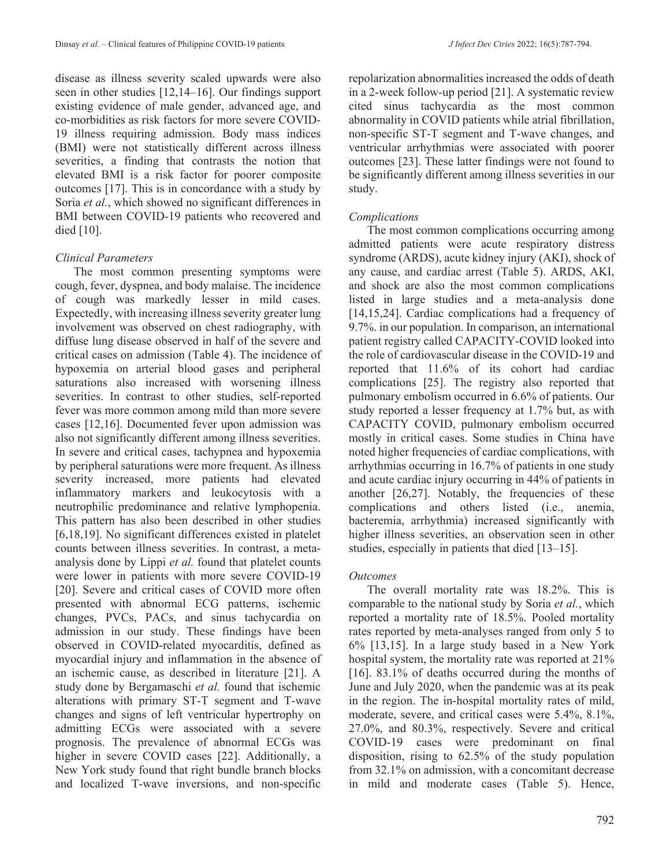disease as illness severity scaled upwards were also seen in other studies [12,14–16]. Our findings support existing evidence of male gender, advanced age, and co-morbidities as risk factors for more severe COVID-19 illness requiring admission. Body mass indices (BMI) were not statistically different across illness severities, a finding that contrasts the notion that elevated BMI is a risk factor for poorer composite outcomes [17]. This is in concordance with a study by Soria *et al.*, which showed no significant differences in BMI between COVID-19 patients who recovered and died [10].

## *Clinical Parameters*

The most common presenting symptoms were cough, fever, dyspnea, and body malaise. The incidence of cough was markedly lesser in mild cases. Expectedly, with increasing illness severity greater lung involvement was observed on chest radiography, with diffuse lung disease observed in half of the severe and critical cases on admission (Table 4). The incidence of hypoxemia on arterial blood gases and peripheral saturations also increased with worsening illness severities. In contrast to other studies, self-reported fever was more common among mild than more severe cases [12,16]. Documented fever upon admission was also not significantly different among illness severities. In severe and critical cases, tachypnea and hypoxemia by peripheral saturations were more frequent. As illness severity increased, more patients had elevated inflammatory markers and leukocytosis with a neutrophilic predominance and relative lymphopenia. This pattern has also been described in other studies [6,18,19]. No significant differences existed in platelet counts between illness severities. In contrast, a metaanalysis done by Lippi *et al.* found that platelet counts were lower in patients with more severe COVID-19 [20]. Severe and critical cases of COVID more often presented with abnormal ECG patterns, ischemic changes, PVCs, PACs, and sinus tachycardia on admission in our study. These findings have been observed in COVID-related myocarditis, defined as myocardial injury and inflammation in the absence of an ischemic cause, as described in literature [21]. A study done by Bergamaschi *et al.* found that ischemic alterations with primary ST-T segment and T-wave changes and signs of left ventricular hypertrophy on admitting ECGs were associated with a severe prognosis. The prevalence of abnormal ECGs was higher in severe COVID cases [22]. Additionally, a New York study found that right bundle branch blocks and localized T-wave inversions, and non-specific

repolarization abnormalities increased the odds of death in a 2-week follow-up period [21]. A systematic review cited sinus tachycardia as the most common abnormality in COVID patients while atrial fibrillation, non-specific ST-T segment and T-wave changes, and ventricular arrhythmias were associated with poorer outcomes [23]. These latter findings were not found to be significantly different among illness severities in our study.

## *Complications*

The most common complications occurring among admitted patients were acute respiratory distress syndrome (ARDS), acute kidney injury (AKI), shock of any cause, and cardiac arrest (Table 5). ARDS, AKI, and shock are also the most common complications listed in large studies and a meta-analysis done [14,15,24]. Cardiac complications had a frequency of 9.7%. in our population. In comparison, an international patient registry called CAPACITY-COVID looked into the role of cardiovascular disease in the COVID-19 and reported that 11.6% of its cohort had cardiac complications [25]. The registry also reported that pulmonary embolism occurred in 6.6% of patients. Our study reported a lesser frequency at 1.7% but, as with CAPACITY COVID, pulmonary embolism occurred mostly in critical cases. Some studies in China have noted higher frequencies of cardiac complications, with arrhythmias occurring in 16.7% of patients in one study and acute cardiac injury occurring in 44% of patients in another [26,27]. Notably, the frequencies of these complications and others listed (i.e., anemia, bacteremia, arrhythmia) increased significantly with higher illness severities, an observation seen in other studies, especially in patients that died [13–15].

### *Outcomes*

The overall mortality rate was 18.2%. This is comparable to the national study by Soria *et al.*, which reported a mortality rate of 18.5%. Pooled mortality rates reported by meta-analyses ranged from only 5 to 6% [13,15]. In a large study based in a New York hospital system, the mortality rate was reported at 21% [16]. 83.1% of deaths occurred during the months of June and July 2020, when the pandemic was at its peak in the region. The in-hospital mortality rates of mild, moderate, severe, and critical cases were 5.4%, 8.1%, 27.0%, and 80.3%, respectively. Severe and critical COVID-19 cases were predominant on final disposition, rising to 62.5% of the study population from 32.1% on admission, with a concomitant decrease in mild and moderate cases (Table 5). Hence,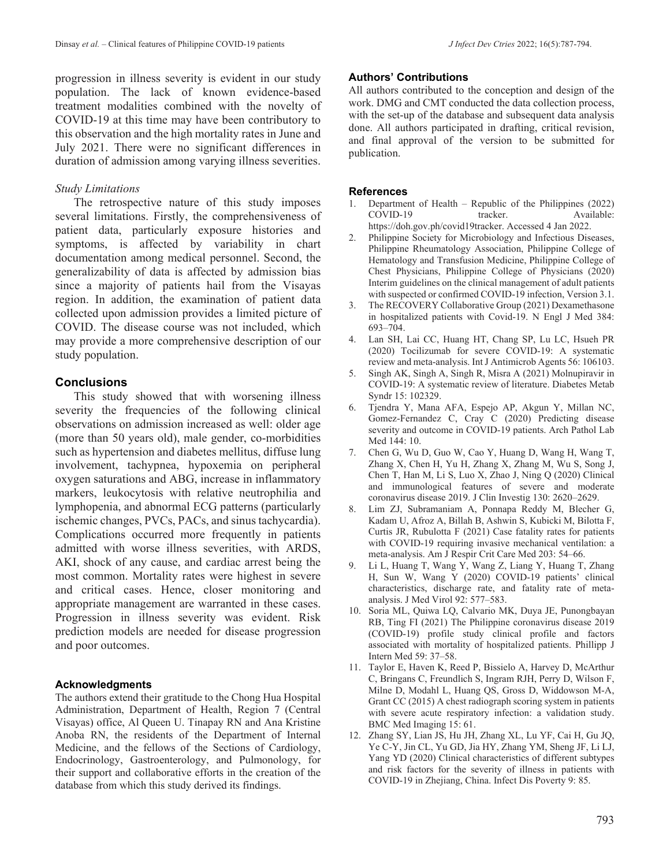progression in illness severity is evident in our study population. The lack of known evidence-based treatment modalities combined with the novelty of COVID-19 at this time may have been contributory to this observation and the high mortality rates in June and July 2021. There were no significant differences in duration of admission among varying illness severities.

#### *Study Limitations*

The retrospective nature of this study imposes several limitations. Firstly, the comprehensiveness of patient data, particularly exposure histories and symptoms, is affected by variability in chart documentation among medical personnel. Second, the generalizability of data is affected by admission bias since a majority of patients hail from the Visayas region. In addition, the examination of patient data collected upon admission provides a limited picture of COVID. The disease course was not included, which may provide a more comprehensive description of our study population.

#### **Conclusions**

This study showed that with worsening illness severity the frequencies of the following clinical observations on admission increased as well: older age (more than 50 years old), male gender, co-morbidities such as hypertension and diabetes mellitus, diffuse lung involvement, tachypnea, hypoxemia on peripheral oxygen saturations and ABG, increase in inflammatory markers, leukocytosis with relative neutrophilia and lymphopenia, and abnormal ECG patterns (particularly ischemic changes, PVCs, PACs, and sinus tachycardia). Complications occurred more frequently in patients admitted with worse illness severities, with ARDS, AKI, shock of any cause, and cardiac arrest being the most common. Mortality rates were highest in severe and critical cases. Hence, closer monitoring and appropriate management are warranted in these cases. Progression in illness severity was evident. Risk prediction models are needed for disease progression and poor outcomes.

#### **Acknowledgments**

The authors extend their gratitude to the Chong Hua Hospital Administration, Department of Health, Region 7 (Central Visayas) office, Al Queen U. Tinapay RN and Ana Kristine Anoba RN, the residents of the Department of Internal Medicine, and the fellows of the Sections of Cardiology, Endocrinology, Gastroenterology, and Pulmonology, for their support and collaborative efforts in the creation of the database from which this study derived its findings.

#### **Authors' Contributions**

All authors contributed to the conception and design of the work. DMG and CMT conducted the data collection process, with the set-up of the database and subsequent data analysis done. All authors participated in drafting, critical revision, and final approval of the version to be submitted for publication.

#### **References**

- 1. Department of Health Republic of the Philippines (2022) COVID-19 tracker. Available: https://doh.gov.ph/covid19tracker. Accessed 4 Jan 2022.
- 2. Philippine Society for Microbiology and Infectious Diseases, Philippine Rheumatology Association, Philippine College of Hematology and Transfusion Medicine, Philippine College of Chest Physicians, Philippine College of Physicians (2020) Interim guidelines on the clinical management of adult patients with suspected or confirmed COVID-19 infection, Version 3.1.
- 3. The RECOVERY Collaborative Group (2021) Dexamethasone in hospitalized patients with Covid-19. N Engl J Med 384: 693–704.
- 4. Lan SH, Lai CC, Huang HT, Chang SP, Lu LC, Hsueh PR (2020) Tocilizumab for severe COVID-19: A systematic review and meta-analysis. Int J Antimicrob Agents 56: 106103.
- 5. Singh AK, Singh A, Singh R, Misra A (2021) Molnupiravir in COVID-19: A systematic review of literature. Diabetes Metab Syndr 15: 102329.
- 6. Tjendra Y, Mana AFA, Espejo AP, Akgun Y, Millan NC, Gomez-Fernandez C, Cray C (2020) Predicting disease severity and outcome in COVID-19 patients. Arch Pathol Lab Med 144: 10.
- 7. Chen G, Wu D, Guo W, Cao Y, Huang D, Wang H, Wang T, Zhang X, Chen H, Yu H, Zhang X, Zhang M, Wu S, Song J, Chen T, Han M, Li S, Luo X, Zhao J, Ning Q (2020) Clinical and immunological features of severe and moderate coronavirus disease 2019. J Clin Investig 130: 2620–2629.
- 8. Lim ZJ, Subramaniam A, Ponnapa Reddy M, Blecher G, Kadam U, Afroz A, Billah B, Ashwin S, Kubicki M, Bilotta F, Curtis JR, Rubulotta F (2021) Case fatality rates for patients with COVID-19 requiring invasive mechanical ventilation: a meta-analysis. Am J Respir Crit Care Med 203: 54–66.
- 9. Li L, Huang T, Wang Y, Wang Z, Liang Y, Huang T, Zhang H, Sun W, Wang Y (2020) COVID‐19 patients' clinical characteristics, discharge rate, and fatality rate of meta‐ analysis. J Med Virol 92: 577–583.
- 10. Soria ML, Quiwa LQ, Calvario MK, Duya JE, Punongbayan RB, Ting FI (2021) The Philippine coronavirus disease 2019 (COVID-19) profile study clinical profile and factors associated with mortality of hospitalized patients. Phillipp J Intern Med 59: 37–58.
- 11. Taylor E, Haven K, Reed P, Bissielo A, Harvey D, McArthur C, Bringans C, Freundlich S, Ingram RJH, Perry D, Wilson F, Milne D, Modahl L, Huang QS, Gross D, Widdowson M-A, Grant CC (2015) A chest radiograph scoring system in patients with severe acute respiratory infection: a validation study. BMC Med Imaging 15: 61.
- 12. Zhang SY, Lian JS, Hu JH, Zhang XL, Lu YF, Cai H, Gu JQ, Ye C-Y, Jin CL, Yu GD, Jia HY, Zhang YM, Sheng JF, Li LJ, Yang YD (2020) Clinical characteristics of different subtypes and risk factors for the severity of illness in patients with COVID-19 in Zhejiang, China. Infect Dis Poverty 9: 85.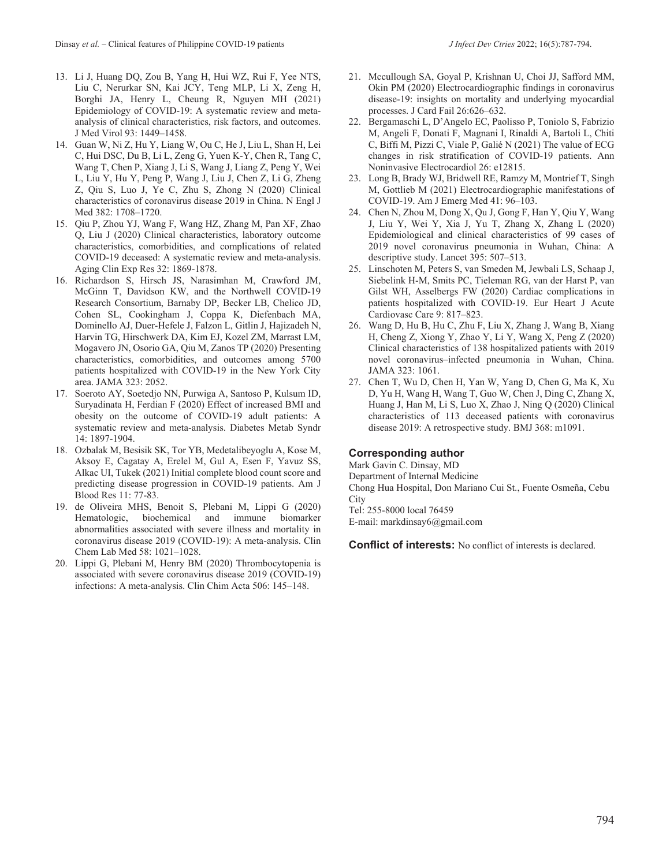- 13. Li J, Huang DQ, Zou B, Yang H, Hui WZ, Rui F, Yee NTS, Liu C, Nerurkar SN, Kai JCY, Teng MLP, Li X, Zeng H, Borghi JA, Henry L, Cheung R, Nguyen MH (2021) Epidemiology of COVID-19: A systematic review and metaanalysis of clinical characteristics, risk factors, and outcomes. J Med Virol 93: 1449–1458.
- 14. Guan W, Ni Z, Hu Y, Liang W, Ou C, He J, Liu L, Shan H, Lei C, Hui DSC, Du B, Li L, Zeng G, Yuen K-Y, Chen R, Tang C, Wang T, Chen P, Xiang J, Li S, Wang J, Liang Z, Peng Y, Wei L, Liu Y, Hu Y, Peng P, Wang J, Liu J, Chen Z, Li G, Zheng Z, Qiu S, Luo J, Ye C, Zhu S, Zhong N (2020) Clinical characteristics of coronavirus disease 2019 in China. N Engl J Med 382: 1708–1720.
- 15. Qiu P, Zhou YJ, Wang F, Wang HZ, Zhang M, Pan XF, Zhao Q, Liu J (2020) Clinical characteristics, laboratory outcome characteristics, comorbidities, and complications of related COVID-19 deceased: A systematic review and meta-analysis. Aging Clin Exp Res 32: 1869-1878.
- 16. Richardson S, Hirsch JS, Narasimhan M, Crawford JM, McGinn T, Davidson KW, and the Northwell COVID-19 Research Consortium, Barnaby DP, Becker LB, Chelico JD, Cohen SL, Cookingham J, Coppa K, Diefenbach MA, Dominello AJ, Duer-Hefele J, Falzon L, Gitlin J, Hajizadeh N, Harvin TG, Hirschwerk DA, Kim EJ, Kozel ZM, Marrast LM, Mogavero JN, Osorio GA, Qiu M, Zanos TP (2020) Presenting characteristics, comorbidities, and outcomes among 5700 patients hospitalized with COVID-19 in the New York City area. JAMA 323: 2052.
- 17. Soeroto AY, Soetedjo NN, Purwiga A, Santoso P, Kulsum ID, Suryadinata H, Ferdian F (2020) Effect of increased BMI and obesity on the outcome of COVID-19 adult patients: A systematic review and meta-analysis. Diabetes Metab Syndr 14: 1897-1904.
- 18. Ozbalak M, Besisik SK, Tor YB, Medetalibeyoglu A, Kose M, Aksoy E, Cagatay A, Erelel M, Gul A, Esen F, Yavuz SS, Alkac UI, Tukek (2021) Initial complete blood count score and predicting disease progression in COVID-19 patients. Am J Blood Res 11: 77-83.
- 19. de Oliveira MHS, Benoit S, Plebani M, Lippi G (2020) Hematologic, biochemical and immune biomarker abnormalities associated with severe illness and mortality in coronavirus disease 2019 (COVID-19): A meta-analysis. Clin Chem Lab Med 58: 1021–1028.
- 20. Lippi G, Plebani M, Henry BM (2020) Thrombocytopenia is associated with severe coronavirus disease 2019 (COVID-19) infections: A meta-analysis. Clin Chim Acta 506: 145–148.
- 21. Mccullough SA, Goyal P, Krishnan U, Choi JJ, Safford MM, Okin PM (2020) Electrocardiographic findings in coronavirus disease-19: insights on mortality and underlying myocardial processes. J Card Fail 26:626–632.
- 22. Bergamaschi L, D'Angelo EC, Paolisso P, Toniolo S, Fabrizio M, Angeli F, Donati F, Magnani I, Rinaldi A, Bartoli L, Chiti C, Biffi M, Pizzi C, Viale P, Galié N (2021) The value of ECG changes in risk stratification of COVID‐19 patients. Ann Noninvasive Electrocardiol 26: e12815.
- 23. Long B, Brady WJ, Bridwell RE, Ramzy M, Montrief T, Singh M, Gottlieb M (2021) Electrocardiographic manifestations of COVID-19. Am J Emerg Med 41: 96–103.
- 24. Chen N, Zhou M, Dong X, Qu J, Gong F, Han Y, Qiu Y, Wang J, Liu Y, Wei Y, Xia J, Yu T, Zhang X, Zhang L (2020) Epidemiological and clinical characteristics of 99 cases of 2019 novel coronavirus pneumonia in Wuhan, China: A descriptive study. Lancet 395: 507–513.
- 25. Linschoten M, Peters S, van Smeden M, Jewbali LS, Schaap J, Siebelink H-M, Smits PC, Tieleman RG, van der Harst P, van Gilst WH, Asselbergs FW (2020) Cardiac complications in patients hospitalized with COVID-19. Eur Heart J Acute Cardiovasc Care 9: 817–823.
- 26. Wang D, Hu B, Hu C, Zhu F, Liu X, Zhang J, Wang B, Xiang H, Cheng Z, Xiong Y, Zhao Y, Li Y, Wang X, Peng Z (2020) Clinical characteristics of 138 hospitalized patients with 2019 novel coronavirus–infected pneumonia in Wuhan, China. JAMA 323: 1061.
- 27. Chen T, Wu D, Chen H, Yan W, Yang D, Chen G, Ma K, Xu D, Yu H, Wang H, Wang T, Guo W, Chen J, Ding C, Zhang X, Huang J, Han M, Li S, Luo X, Zhao J, Ning Q (2020) Clinical characteristics of 113 deceased patients with coronavirus disease 2019: A retrospective study. BMJ 368: m1091.

#### **Corresponding author**

Mark Gavin C. Dinsay, MD Department of Internal Medicine Chong Hua Hospital, Don Mariano Cui St., Fuente Osmeña, Cebu **City** Tel: 255-8000 local 76459 E-mail: markdinsay6@gmail.com

**Conflict of interests:** No conflict of interests is declared.